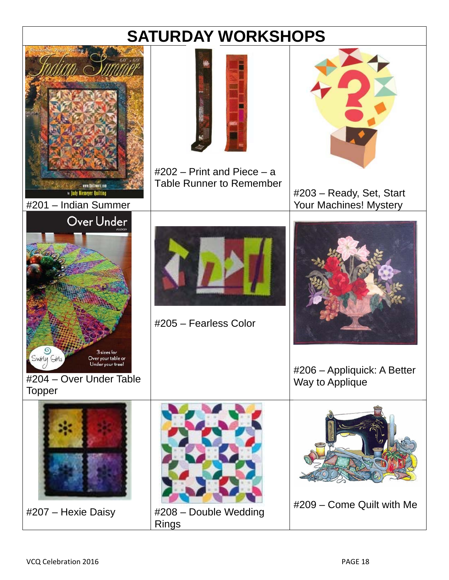# **SATURDAY WORKSHOPS**

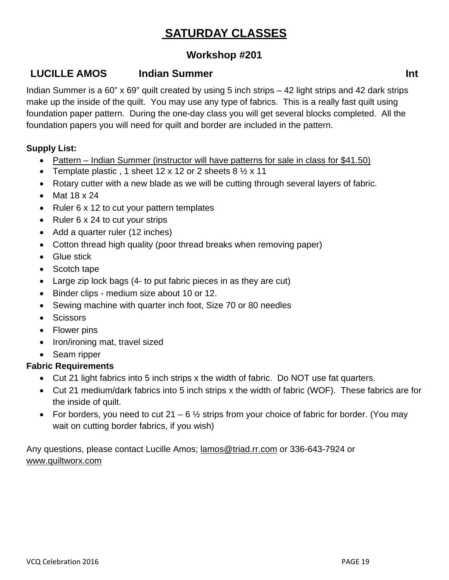# **SATURDAY CLASSES**

# **Workshop #201**

# **LUCILLE AMOS** Indian Summer Int **Int Int**

Indian Summer is a 60" x 69" quilt created by using 5 inch strips – 42 light strips and 42 dark strips make up the inside of the quilt. You may use any type of fabrics. This is a really fast quilt using foundation paper pattern. During the one-day class you will get several blocks completed. All the foundation papers you will need for quilt and border are included in the pattern.

#### **Supply List:**

- Pattern Indian Summer (instructor will have patterns for sale in class for \$41.50)
- Template plastic, 1 sheet 12 x 12 or 2 sheets  $8\frac{1}{2}$  x 11
- Rotary cutter with a new blade as we will be cutting through several layers of fabric.
- $\bullet$  Mat 18 x 24
- Ruler 6 x 12 to cut your pattern templates
- Ruler 6 x 24 to cut your strips
- Add a quarter ruler (12 inches)
- Cotton thread high quality (poor thread breaks when removing paper)
- Glue stick
- Scotch tape
- Large zip lock bags (4- to put fabric pieces in as they are cut)
- Binder clips medium size about 10 or 12.
- Sewing machine with quarter inch foot, Size 70 or 80 needles
- Scissors
- Flower pins
- Iron/ironing mat, travel sized
- Seam ripper

### **Fabric Requirements**

- Cut 21 light fabrics into 5 inch strips x the width of fabric. Do NOT use fat quarters.
- Cut 21 medium/dark fabrics into 5 inch strips x the width of fabric (WOF). These fabrics are for the inside of quilt.
- For borders, you need to cut 21 6  $\frac{1}{2}$  strips from your choice of fabric for border. (You may wait on cutting border fabrics, if you wish)

Any questions, please contact Lucille Amos; lamos@triad.rr.com or 336-643-7924 or www.quiltworx.com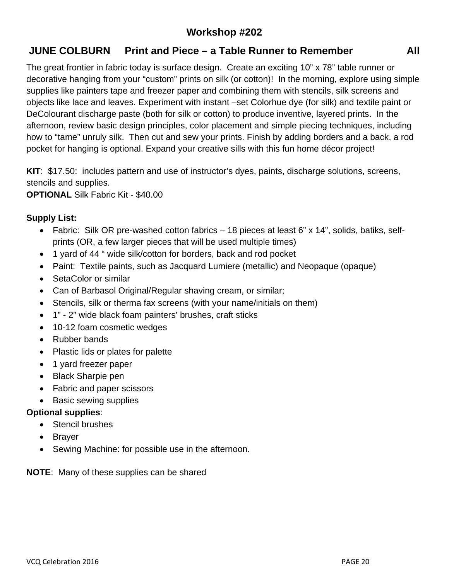# **Workshop #202**

# **JUNE COLBURN Print and Piece – a Table Runner to Remember All**

The great frontier in fabric today is surface design. Create an exciting 10" x 78" table runner or decorative hanging from your "custom" prints on silk (or cotton)! In the morning, explore using simple supplies like painters tape and freezer paper and combining them with stencils, silk screens and objects like lace and leaves. Experiment with instant –set Colorhue dye (for silk) and textile paint or DeColourant discharge paste (both for silk or cotton) to produce inventive, layered prints. In the afternoon, review basic design principles, color placement and simple piecing techniques, including how to "tame" unruly silk. Then cut and sew your prints. Finish by adding borders and a back, a rod pocket for hanging is optional. Expand your creative sills with this fun home décor project!

**KIT**: \$17.50: includes pattern and use of instructor's dyes, paints, discharge solutions, screens, stencils and supplies.

**OPTIONAL** Silk Fabric Kit - \$40.00

#### **Supply List:**

- Fabric: Silk OR pre-washed cotton fabrics 18 pieces at least 6" x 14", solids, batiks, selfprints (OR, a few larger pieces that will be used multiple times)
- 1 yard of 44 " wide silk/cotton for borders, back and rod pocket
- Paint: Textile paints, such as Jacquard Lumiere (metallic) and Neopaque (opaque)
- SetaColor or similar
- Can of Barbasol Original/Regular shaving cream, or similar;
- Stencils, silk or therma fax screens (with your name/initials on them)
- 1" 2" wide black foam painters' brushes, craft sticks
- 10-12 foam cosmetic wedges
- Rubber bands
- Plastic lids or plates for palette
- 1 yard freezer paper
- Black Sharpie pen
- Fabric and paper scissors
- Basic sewing supplies

#### **Optional supplies**:

- Stencil brushes
- Brayer
- Sewing Machine: for possible use in the afternoon.

**NOTE**: Many of these supplies can be shared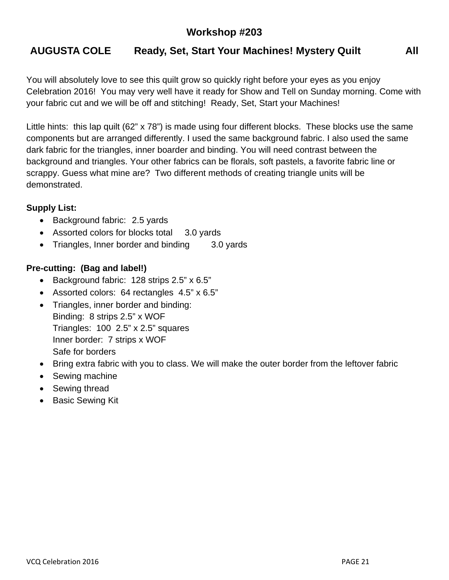# **Workshop #203**

# **AUGUSTA COLE Ready, Set, Start Your Machines! Mystery Quilt All**

You will absolutely love to see this quilt grow so quickly right before your eyes as you enjoy Celebration 2016! You may very well have it ready for Show and Tell on Sunday morning. Come with your fabric cut and we will be off and stitching! Ready, Set, Start your Machines!

Little hints: this lap quilt (62" x 78") is made using four different blocks. These blocks use the same components but are arranged differently. I used the same background fabric. I also used the same dark fabric for the triangles, inner boarder and binding. You will need contrast between the background and triangles. Your other fabrics can be florals, soft pastels, a favorite fabric line or scrappy. Guess what mine are? Two different methods of creating triangle units will be demonstrated.

#### **Supply List:**

- Background fabric: 2.5 yards
- Assorted colors for blocks total 3.0 yards
- Triangles, Inner border and binding 3.0 yards

#### **Pre-cutting: (Bag and label!)**

- Background fabric: 128 strips 2.5" x 6.5"
- Assorted colors: 64 rectangles 4.5" x 6.5"
- Triangles, inner border and binding: Binding: 8 strips 2.5" x WOF Triangles: 100 2.5" x 2.5" squares Inner border: 7 strips x WOF Safe for borders
- Bring extra fabric with you to class. We will make the outer border from the leftover fabric
- Sewing machine
- Sewing thread
- Basic Sewing Kit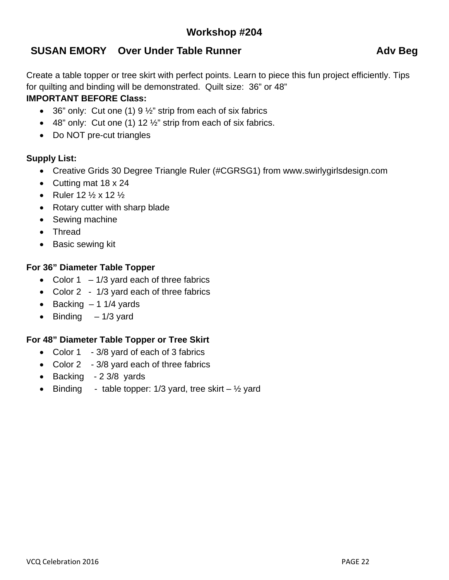# **SUSAN EMORY** Over Under Table Runner **Advisor Advised** Adv Beg

Create a table topper or tree skirt with perfect points. Learn to piece this fun project efficiently. Tips for quilting and binding will be demonstrated. Quilt size: 36" or 48" **IMPORTANT BEFORE Class:** 

- 36" only: Cut one (1)  $9\frac{1}{2}$ " strip from each of six fabrics
- $\bullet$  48" only: Cut one (1) 12  $\frac{1}{2}$ " strip from each of six fabrics.
- Do NOT pre-cut triangles

## **Supply List:**

- Creative Grids 30 Degree Triangle Ruler (#CGRSG1) from www.swirlygirlsdesign.com
- Cutting mat 18 x 24
- Ruler  $12 \frac{1}{2} \times 12 \frac{1}{2}$
- Rotary cutter with sharp blade
- Sewing machine
- Thread
- Basic sewing kit

### **For 36" Diameter Table Topper**

- Color  $1 1/3$  yard each of three fabrics
- Color 2 1/3 yard each of three fabrics
- $\bullet$  Backing  $-1$  1/4 yards
- $\bullet$  Binding  $-1/3$  yard

### **For 48" Diameter Table Topper or Tree Skirt**

- Color 1 3/8 yard of each of 3 fabrics
- Color 2 3/8 yard each of three fabrics
- $\bullet$  Backing 2 3/8 yards
- Binding table topper: 1/3 yard, tree skirt  $-$  1/2 yard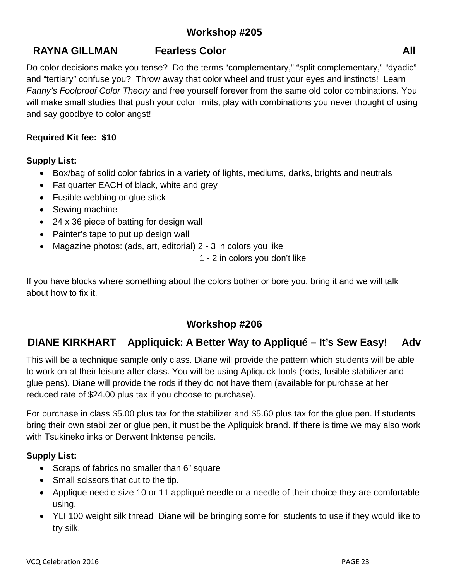# **RAYNA GILLMAN** Fearless Color **Contained All 2018**

Do color decisions make you tense? Do the terms "complementary," "split complementary," "dyadic" and "tertiary" confuse you? Throw away that color wheel and trust your eyes and instincts! Learn *Fanny's Foolproof Color Theory* and free yourself forever from the same old color combinations. You will make small studies that push your color limits, play with combinations you never thought of using and say goodbye to color angst!

#### **Required Kit fee: \$10**

#### **Supply List:**

- Box/bag of solid color fabrics in a variety of lights, mediums, darks, brights and neutrals
- Fat quarter EACH of black, white and grey
- Fusible webbing or glue stick
- Sewing machine
- 24 x 36 piece of batting for design wall
- Painter's tape to put up design wall
- Magazine photos: (ads, art, editorial) 2 3 in colors you like

1 - 2 in colors you don't like

If you have blocks where something about the colors bother or bore you, bring it and we will talk about how to fix it.

# **Workshop #206**

# **DIANE KIRKHART Appliquick: A Better Way to Appliqué – It's Sew Easy! Adv**

This will be a technique sample only class. Diane will provide the pattern which students will be able to work on at their leisure after class. You will be using Apliquick tools (rods, fusible stabilizer and glue pens). Diane will provide the rods if they do not have them (available for purchase at her reduced rate of \$24.00 plus tax if you choose to purchase).

For purchase in class \$5.00 plus tax for the stabilizer and \$5.60 plus tax for the glue pen. If students bring their own stabilizer or glue pen, it must be the Apliquick brand. If there is time we may also work with Tsukineko inks or Derwent Inktense pencils.

#### **Supply List:**

- Scraps of fabrics no smaller than 6" square
- Small scissors that cut to the tip.
- Applique needle size 10 or 11 appliqué needle or a needle of their choice they are comfortable using.
- YLI 100 weight silk thread Diane will be bringing some for students to use if they would like to try silk.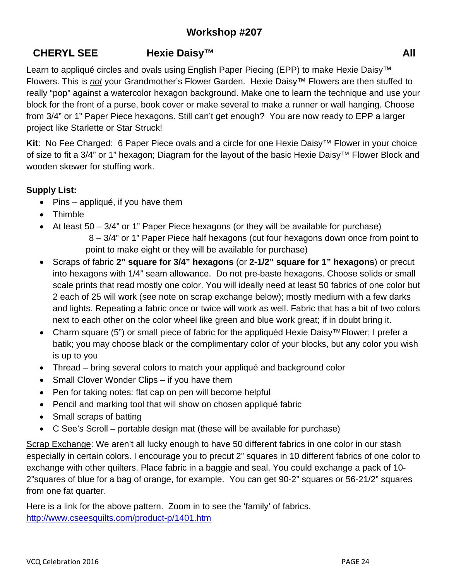# **CHERYL SEE Hexie Daisy™ All**

Learn to appliqué circles and ovals using English Paper Piecing (EPP) to make Hexie Daisy™ Flowers. This is *not* your Grandmother's Flower Garden. Hexie Daisy™ Flowers are then stuffed to really "pop" against a watercolor hexagon background. Make one to learn the technique and use your block for the front of a purse, book cover or make several to make a runner or wall hanging. Choose from 3/4" or 1" Paper Piece hexagons. Still can't get enough? You are now ready to EPP a larger project like Starlette or Star Struck!

**Kit**: No Fee Charged: 6 Paper Piece ovals and a circle for one Hexie Daisy™ Flower in your choice of size to fit a 3/4" or 1" hexagon; Diagram for the layout of the basic Hexie Daisy™ Flower Block and wooden skewer for stuffing work.

## **Supply List:**

- $\bullet$  Pins appliqué, if you have them
- Thimble
- $\bullet$  At least 50 3/4" or 1" Paper Piece hexagons (or they will be available for purchase) 8 – 3/4" or 1" Paper Piece half hexagons (cut four hexagons down once from point to point to make eight or they will be available for purchase)
- Scraps of fabric **2" square for 3/4" hexagons** (or **2-1/2" square for 1" hexagons**) or precut into hexagons with 1/4" seam allowance. Do not pre-baste hexagons. Choose solids or small scale prints that read mostly one color. You will ideally need at least 50 fabrics of one color but 2 each of 25 will work (see note on scrap exchange below); mostly medium with a few darks and lights. Repeating a fabric once or twice will work as well. Fabric that has a bit of two colors next to each other on the color wheel like green and blue work great; if in doubt bring it.
- Charm square (5") or small piece of fabric for the appliquéd Hexie Daisy™Flower; I prefer a batik; you may choose black or the complimentary color of your blocks, but any color you wish is up to you
- Thread bring several colors to match your appliqué and background color
- Small Clover Wonder Clips if you have them
- Pen for taking notes: flat cap on pen will become helpful
- Pencil and marking tool that will show on chosen appliqué fabric
- Small scraps of batting
- C See's Scroll portable design mat (these will be available for purchase)

Scrap Exchange: We aren't all lucky enough to have 50 different fabrics in one color in our stash especially in certain colors. I encourage you to precut 2" squares in 10 different fabrics of one color to exchange with other quilters. Place fabric in a baggie and seal. You could exchange a pack of 10- 2"squares of blue for a bag of orange, for example. You can get 90-2" squares or 56-21/2" squares from one fat quarter.

Here is a link for the above pattern. Zoom in to see the 'family' of fabrics. http://www.cseesquilts.com/product-p/1401.htm